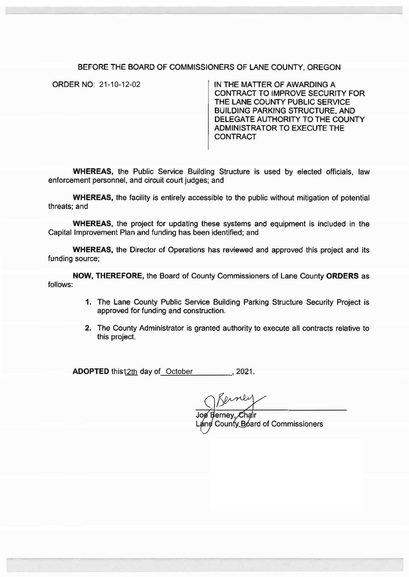## BEFORE THE BOARD OF COMMISSIONERS OF LANE COUNTY, OREGON

ORDER NO: 21-10-12-02

IN THE MATTER OF AWARDING A CONTRACT TO IMPROVE SECURITY FOR THE LANE COUNTY PUBLIC SERVICE BUILDING PARKING STRUCTURE, AND DELEGATE AUTHORITY TO THE COUNTY ADMINISTRATOR TO EXECUTE THE **CONTRACT** 

WHEREAS, the Public Service Building Structure is used by elected officials, law enforcement personnel, and circuit court judges; and

WHEREAS, the facility is entirely accessible to the public without mitigation of potential threats; and

WHEREAS, the project for updating these systems and equipment is included in the Capital Improvement Plan and funding has been identified; and

WHEREAS, the Director of Operations has reviewed and approved this project and its funding source;

NOW, THEREFORE, the Board of County Commissioners of Lane County ORDERS as follows:

- 1. The Lane County Public Service Building Parking Structure Security Project is approved for funding and construction.
- 2. The County Administrator is granted authority to execute all contracts relative to this project.

ADOPTED this<u>12th</u> day of<u>\_October\_\_\_\_\_\_\_\_</u>, 2021.

Joe Berney, Chair County Board of Commissioners